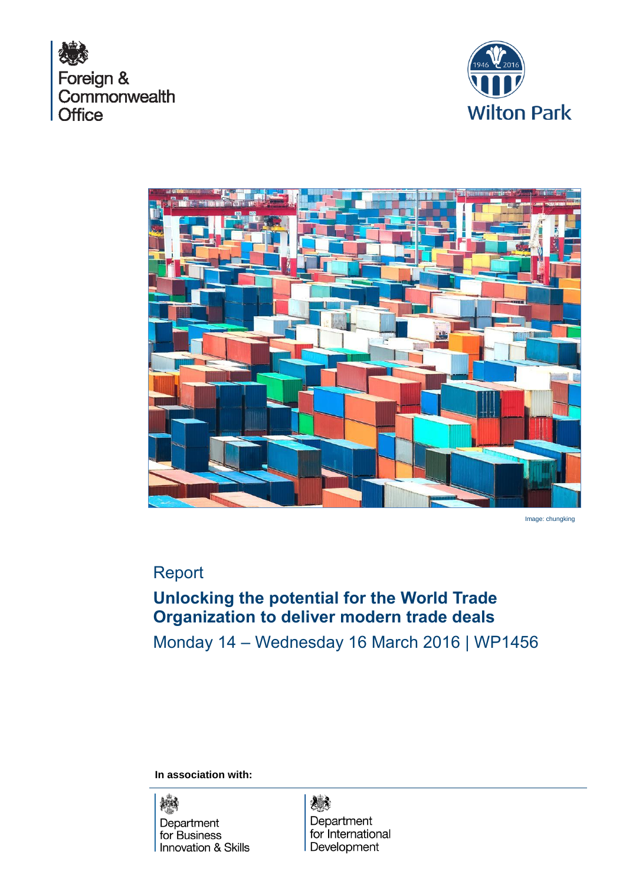





Image: chungking

## Report

# **Unlocking the potential for the World Trade Organization to deliver modern trade deals**

Monday 14 – Wednesday 16 March 2016 | WP1456

**In association with:** 



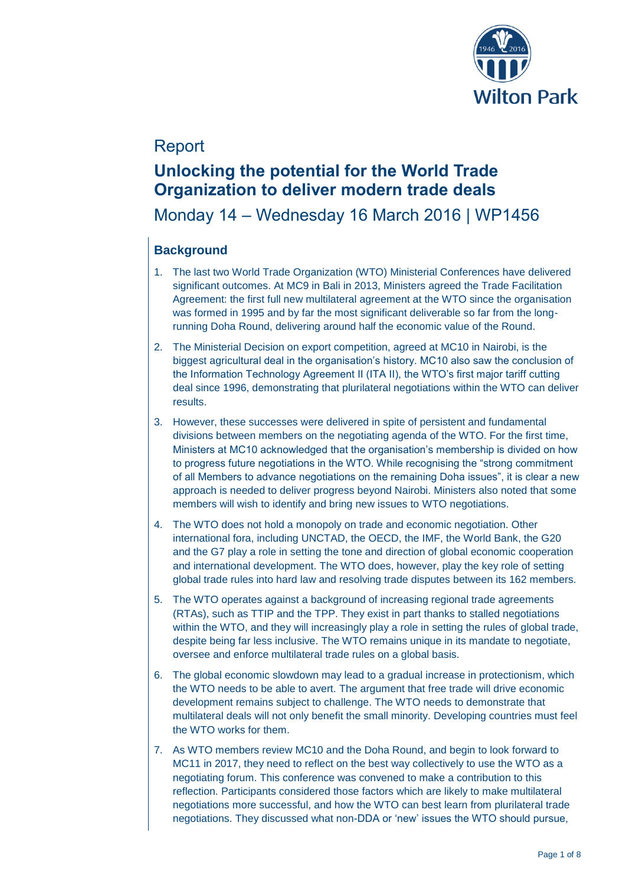

## Report

## **Unlocking the potential for the World Trade Organization to deliver modern trade deals**

### Monday 14 – Wednesday 16 March 2016 | WP1456

### **Background**

- 1. The last two World Trade Organization (WTO) Ministerial Conferences have delivered significant outcomes. At MC9 in Bali in 2013, Ministers agreed the Trade Facilitation Agreement: the first full new multilateral agreement at the WTO since the organisation was formed in 1995 and by far the most significant deliverable so far from the longrunning Doha Round, delivering around half the economic value of the Round.
- 2. The Ministerial Decision on export competition, agreed at MC10 in Nairobi, is the biggest agricultural deal in the organisation's history. MC10 also saw the conclusion of the Information Technology Agreement II (ITA II), the WTO's first major tariff cutting deal since 1996, demonstrating that plurilateral negotiations within the WTO can deliver results.
- 3. However, these successes were delivered in spite of persistent and fundamental divisions between members on the negotiating agenda of the WTO. For the first time, Ministers at MC10 acknowledged that the organisation's membership is divided on how to progress future negotiations in the WTO. While recognising the "strong commitment of all Members to advance negotiations on the remaining Doha issues", it is clear a new approach is needed to deliver progress beyond Nairobi. Ministers also noted that some members will wish to identify and bring new issues to WTO negotiations.
- 4. The WTO does not hold a monopoly on trade and economic negotiation. Other international fora, including UNCTAD, the OECD, the IMF, the World Bank, the G20 and the G7 play a role in setting the tone and direction of global economic cooperation and international development. The WTO does, however, play the key role of setting global trade rules into hard law and resolving trade disputes between its 162 members.
- 5. The WTO operates against a background of increasing regional trade agreements (RTAs), such as TTIP and the TPP. They exist in part thanks to stalled negotiations within the WTO, and they will increasingly play a role in setting the rules of global trade, despite being far less inclusive. The WTO remains unique in its mandate to negotiate, oversee and enforce multilateral trade rules on a global basis.
- 6. The global economic slowdown may lead to a gradual increase in protectionism, which the WTO needs to be able to avert. The argument that free trade will drive economic development remains subject to challenge. The WTO needs to demonstrate that multilateral deals will not only benefit the small minority. Developing countries must feel the WTO works for them.
- 7. As WTO members review MC10 and the Doha Round, and begin to look forward to MC11 in 2017, they need to reflect on the best way collectively to use the WTO as a negotiating forum. This conference was convened to make a contribution to this reflection. Participants considered those factors which are likely to make multilateral negotiations more successful, and how the WTO can best learn from plurilateral trade negotiations. They discussed what non-DDA or 'new' issues the WTO should pursue,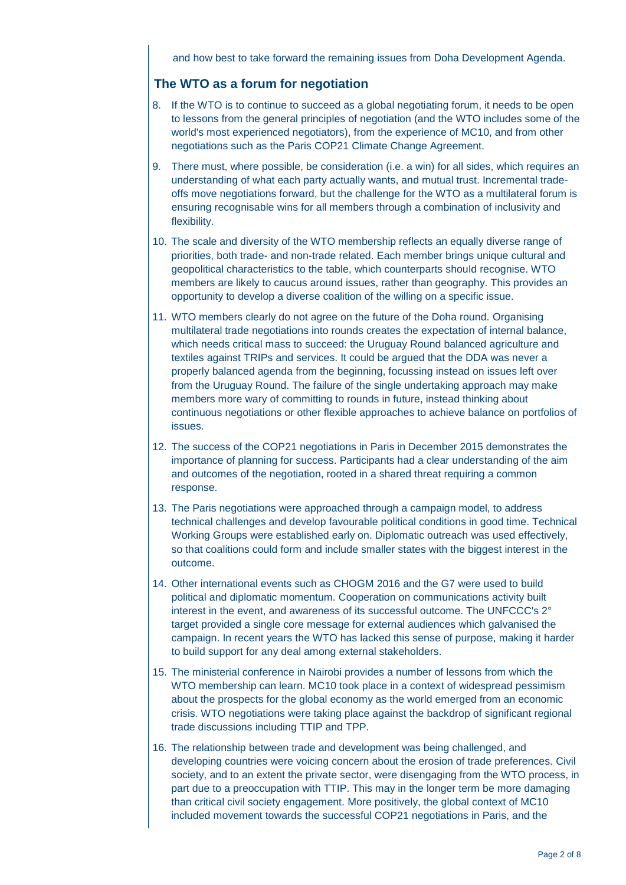and how best to take forward the remaining issues from Doha Development Agenda.

### **The WTO as a forum for negotiation**

- 8. If the WTO is to continue to succeed as a global negotiating forum, it needs to be open to lessons from the general principles of negotiation (and the WTO includes some of the world's most experienced negotiators), from the experience of MC10, and from other negotiations such as the Paris COP21 Climate Change Agreement.
- 9. There must, where possible, be consideration (i.e. a win) for all sides, which requires an understanding of what each party actually wants, and mutual trust. Incremental tradeoffs move negotiations forward, but the challenge for the WTO as a multilateral forum is ensuring recognisable wins for all members through a combination of inclusivity and flexibility.
- 10. The scale and diversity of the WTO membership reflects an equally diverse range of priorities, both trade- and non-trade related. Each member brings unique cultural and geopolitical characteristics to the table, which counterparts should recognise. WTO members are likely to caucus around issues, rather than geography. This provides an opportunity to develop a diverse coalition of the willing on a specific issue.
- 11. WTO members clearly do not agree on the future of the Doha round. Organising multilateral trade negotiations into rounds creates the expectation of internal balance, which needs critical mass to succeed: the Uruguay Round balanced agriculture and textiles against TRIPs and services. It could be argued that the DDA was never a properly balanced agenda from the beginning, focussing instead on issues left over from the Uruguay Round. The failure of the single undertaking approach may make members more wary of committing to rounds in future, instead thinking about continuous negotiations or other flexible approaches to achieve balance on portfolios of issues.
- 12. The success of the COP21 negotiations in Paris in December 2015 demonstrates the importance of planning for success. Participants had a clear understanding of the aim and outcomes of the negotiation, rooted in a shared threat requiring a common response.
- 13. The Paris negotiations were approached through a campaign model, to address technical challenges and develop favourable political conditions in good time. Technical Working Groups were established early on. Diplomatic outreach was used effectively, so that coalitions could form and include smaller states with the biggest interest in the outcome.
- 14. Other international events such as CHOGM 2016 and the G7 were used to build political and diplomatic momentum. Cooperation on communications activity built interest in the event, and awareness of its successful outcome. The UNFCCC's 2° target provided a single core message for external audiences which galvanised the campaign. In recent years the WTO has lacked this sense of purpose, making it harder to build support for any deal among external stakeholders.
- 15. The ministerial conference in Nairobi provides a number of lessons from which the WTO membership can learn. MC10 took place in a context of widespread pessimism about the prospects for the global economy as the world emerged from an economic crisis. WTO negotiations were taking place against the backdrop of significant regional trade discussions including TTIP and TPP.
- 16. The relationship between trade and development was being challenged, and developing countries were voicing concern about the erosion of trade preferences. Civil society, and to an extent the private sector, were disengaging from the WTO process, in part due to a preoccupation with TTIP. This may in the longer term be more damaging than critical civil society engagement. More positively, the global context of MC10 included movement towards the successful COP21 negotiations in Paris, and the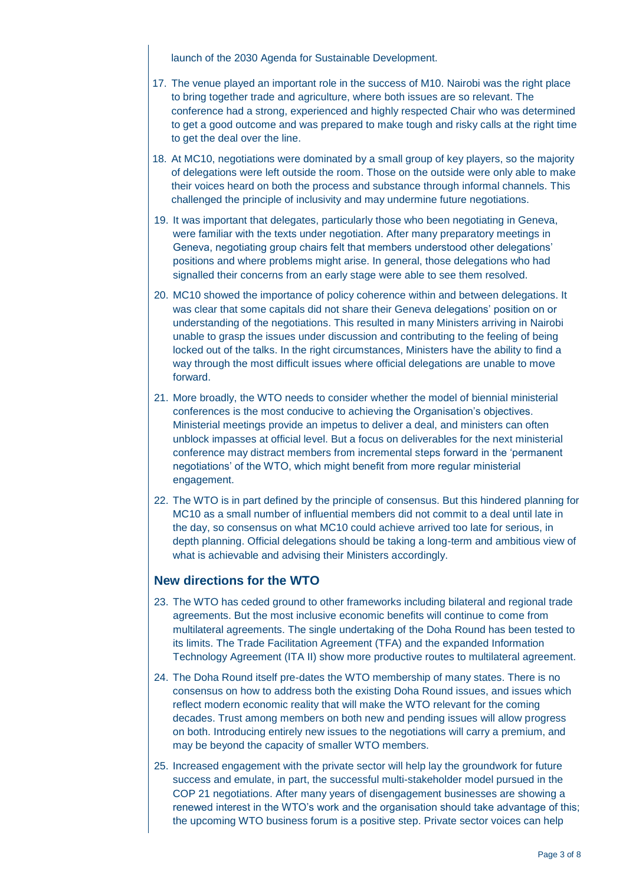launch of the 2030 Agenda for Sustainable Development.

- 17. The venue played an important role in the success of M10. Nairobi was the right place to bring together trade and agriculture, where both issues are so relevant. The conference had a strong, experienced and highly respected Chair who was determined to get a good outcome and was prepared to make tough and risky calls at the right time to get the deal over the line.
- 18. At MC10, negotiations were dominated by a small group of key players, so the majority of delegations were left outside the room. Those on the outside were only able to make their voices heard on both the process and substance through informal channels. This challenged the principle of inclusivity and may undermine future negotiations.
- 19. It was important that delegates, particularly those who been negotiating in Geneva, were familiar with the texts under negotiation. After many preparatory meetings in Geneva, negotiating group chairs felt that members understood other delegations' positions and where problems might arise. In general, those delegations who had signalled their concerns from an early stage were able to see them resolved.
- 20. MC10 showed the importance of policy coherence within and between delegations. It was clear that some capitals did not share their Geneva delegations' position on or understanding of the negotiations. This resulted in many Ministers arriving in Nairobi unable to grasp the issues under discussion and contributing to the feeling of being locked out of the talks. In the right circumstances, Ministers have the ability to find a way through the most difficult issues where official delegations are unable to move forward.
- 21. More broadly, the WTO needs to consider whether the model of biennial ministerial conferences is the most conducive to achieving the Organisation's objectives. Ministerial meetings provide an impetus to deliver a deal, and ministers can often unblock impasses at official level. But a focus on deliverables for the next ministerial conference may distract members from incremental steps forward in the 'permanent negotiations' of the WTO, which might benefit from more regular ministerial engagement.
- 22. The WTO is in part defined by the principle of consensus. But this hindered planning for MC10 as a small number of influential members did not commit to a deal until late in the day, so consensus on what MC10 could achieve arrived too late for serious, in depth planning. Official delegations should be taking a long-term and ambitious view of what is achievable and advising their Ministers accordingly.

### **New directions for the WTO**

- 23. The WTO has ceded ground to other frameworks including bilateral and regional trade agreements. But the most inclusive economic benefits will continue to come from multilateral agreements. The single undertaking of the Doha Round has been tested to its limits. The Trade Facilitation Agreement (TFA) and the expanded Information Technology Agreement (ITA II) show more productive routes to multilateral agreement.
- 24. The Doha Round itself pre-dates the WTO membership of many states. There is no consensus on how to address both the existing Doha Round issues, and issues which reflect modern economic reality that will make the WTO relevant for the coming decades. Trust among members on both new and pending issues will allow progress on both. Introducing entirely new issues to the negotiations will carry a premium, and may be beyond the capacity of smaller WTO members.
- 25. Increased engagement with the private sector will help lay the groundwork for future success and emulate, in part, the successful multi-stakeholder model pursued in the COP 21 negotiations. After many years of disengagement businesses are showing a renewed interest in the WTO's work and the organisation should take advantage of this; the upcoming WTO business forum is a positive step. Private sector voices can help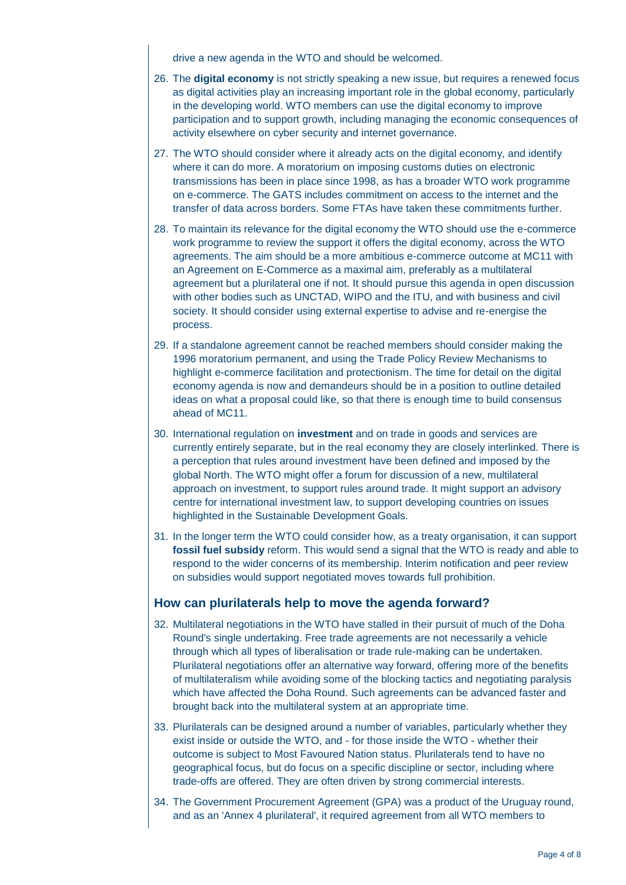drive a new agenda in the WTO and should be welcomed.

- 26. The **digital economy** is not strictly speaking a new issue, but requires a renewed focus as digital activities play an increasing important role in the global economy, particularly in the developing world. WTO members can use the digital economy to improve participation and to support growth, including managing the economic consequences of activity elsewhere on cyber security and internet governance.
- 27. The WTO should consider where it already acts on the digital economy, and identify where it can do more. A moratorium on imposing customs duties on electronic transmissions has been in place since 1998, as has a broader WTO work programme on e-commerce. The GATS includes commitment on access to the internet and the transfer of data across borders. Some FTAs have taken these commitments further.
- 28. To maintain its relevance for the digital economy the WTO should use the e-commerce work programme to review the support it offers the digital economy, across the WTO agreements. The aim should be a more ambitious e-commerce outcome at MC11 with an Agreement on E-Commerce as a maximal aim, preferably as a multilateral agreement but a plurilateral one if not. It should pursue this agenda in open discussion with other bodies such as UNCTAD, WIPO and the ITU, and with business and civil society. It should consider using external expertise to advise and re-energise the process.
- 29. If a standalone agreement cannot be reached members should consider making the 1996 moratorium permanent, and using the Trade Policy Review Mechanisms to highlight e-commerce facilitation and protectionism. The time for detail on the digital economy agenda is now and demandeurs should be in a position to outline detailed ideas on what a proposal could like, so that there is enough time to build consensus ahead of MC11.
- 30. International regulation on **investment** and on trade in goods and services are currently entirely separate, but in the real economy they are closely interlinked. There is a perception that rules around investment have been defined and imposed by the global North. The WTO might offer a forum for discussion of a new, multilateral approach on investment, to support rules around trade. It might support an advisory centre for international investment law, to support developing countries on issues highlighted in the Sustainable Development Goals.
- 31. In the longer term the WTO could consider how, as a treaty organisation, it can support **fossil fuel subsidy** reform. This would send a signal that the WTO is ready and able to respond to the wider concerns of its membership. Interim notification and peer review on subsidies would support negotiated moves towards full prohibition.

### **How can plurilaterals help to move the agenda forward?**

- 32. Multilateral negotiations in the WTO have stalled in their pursuit of much of the Doha Round's single undertaking. Free trade agreements are not necessarily a vehicle through which all types of liberalisation or trade rule-making can be undertaken. Plurilateral negotiations offer an alternative way forward, offering more of the benefits of multilateralism while avoiding some of the blocking tactics and negotiating paralysis which have affected the Doha Round. Such agreements can be advanced faster and brought back into the multilateral system at an appropriate time.
- 33. Plurilaterals can be designed around a number of variables, particularly whether they exist inside or outside the WTO, and - for those inside the WTO - whether their outcome is subject to Most Favoured Nation status. Plurilaterals tend to have no geographical focus, but do focus on a specific discipline or sector, including where trade-offs are offered. They are often driven by strong commercial interests.
- 34. The Government Procurement Agreement (GPA) was a product of the Uruguay round, and as an 'Annex 4 plurilateral', it required agreement from all WTO members to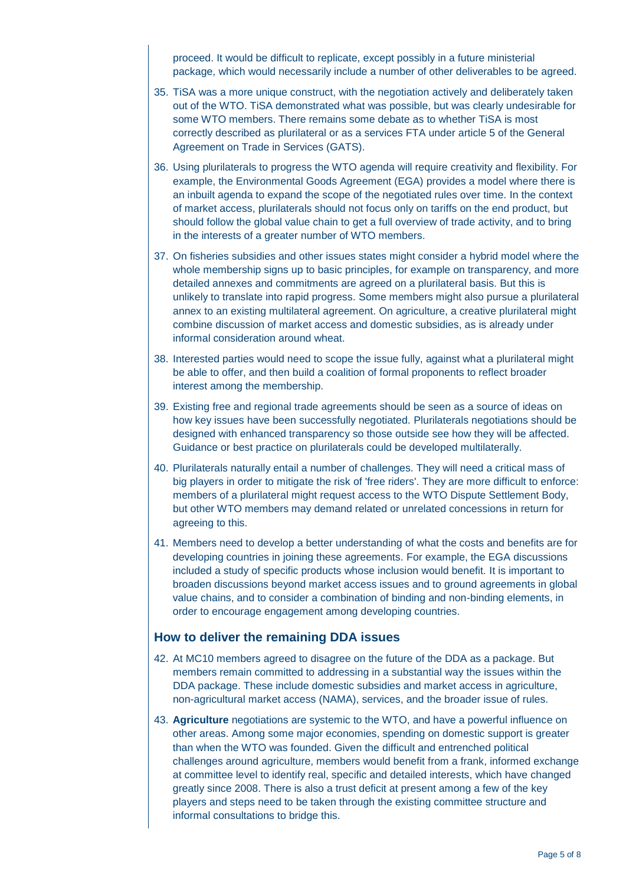proceed. It would be difficult to replicate, except possibly in a future ministerial package, which would necessarily include a number of other deliverables to be agreed.

- 35. TiSA was a more unique construct, with the negotiation actively and deliberately taken out of the WTO. TiSA demonstrated what was possible, but was clearly undesirable for some WTO members. There remains some debate as to whether TiSA is most correctly described as plurilateral or as a services FTA under article 5 of the General Agreement on Trade in Services (GATS).
- 36. Using plurilaterals to progress the WTO agenda will require creativity and flexibility. For example, the Environmental Goods Agreement (EGA) provides a model where there is an inbuilt agenda to expand the scope of the negotiated rules over time. In the context of market access, plurilaterals should not focus only on tariffs on the end product, but should follow the global value chain to get a full overview of trade activity, and to bring in the interests of a greater number of WTO members.
- 37. On fisheries subsidies and other issues states might consider a hybrid model where the whole membership signs up to basic principles, for example on transparency, and more detailed annexes and commitments are agreed on a plurilateral basis. But this is unlikely to translate into rapid progress. Some members might also pursue a plurilateral annex to an existing multilateral agreement. On agriculture, a creative plurilateral might combine discussion of market access and domestic subsidies, as is already under informal consideration around wheat.
- 38. Interested parties would need to scope the issue fully, against what a plurilateral might be able to offer, and then build a coalition of formal proponents to reflect broader interest among the membership.
- 39. Existing free and regional trade agreements should be seen as a source of ideas on how key issues have been successfully negotiated. Plurilaterals negotiations should be designed with enhanced transparency so those outside see how they will be affected. Guidance or best practice on plurilaterals could be developed multilaterally.
- 40. Plurilaterals naturally entail a number of challenges. They will need a critical mass of big players in order to mitigate the risk of 'free riders'. They are more difficult to enforce: members of a plurilateral might request access to the WTO Dispute Settlement Body, but other WTO members may demand related or unrelated concessions in return for agreeing to this.
- 41. Members need to develop a better understanding of what the costs and benefits are for developing countries in joining these agreements. For example, the EGA discussions included a study of specific products whose inclusion would benefit. It is important to broaden discussions beyond market access issues and to ground agreements in global value chains, and to consider a combination of binding and non-binding elements, in order to encourage engagement among developing countries.

#### **How to deliver the remaining DDA issues**

- 42. At MC10 members agreed to disagree on the future of the DDA as a package. But members remain committed to addressing in a substantial way the issues within the DDA package. These include domestic subsidies and market access in agriculture, non-agricultural market access (NAMA), services, and the broader issue of rules.
- 43. **Agriculture** negotiations are systemic to the WTO, and have a powerful influence on other areas. Among some major economies, spending on domestic support is greater than when the WTO was founded. Given the difficult and entrenched political challenges around agriculture, members would benefit from a frank, informed exchange at committee level to identify real, specific and detailed interests, which have changed greatly since 2008. There is also a trust deficit at present among a few of the key players and steps need to be taken through the existing committee structure and informal consultations to bridge this.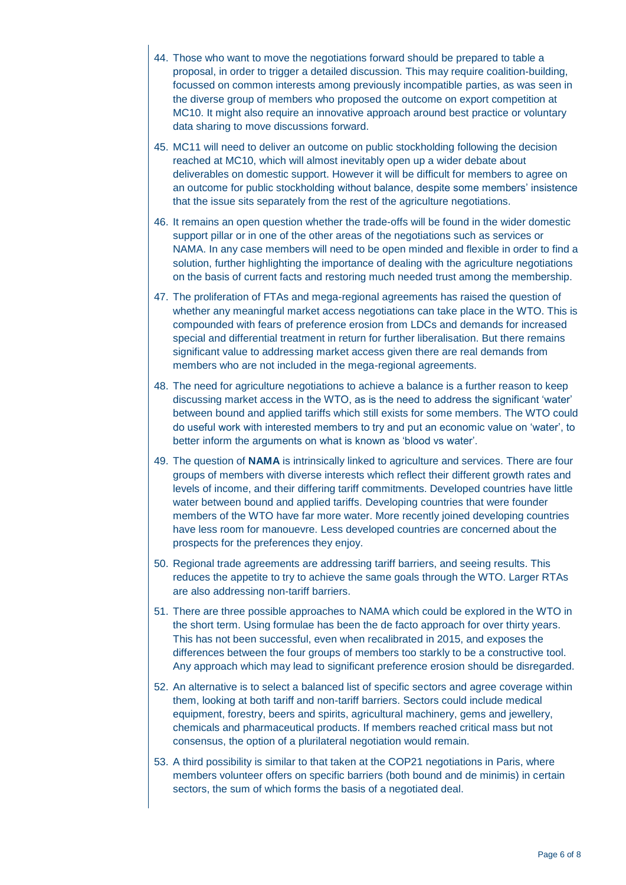- 44. Those who want to move the negotiations forward should be prepared to table a proposal, in order to trigger a detailed discussion. This may require coalition-building, focussed on common interests among previously incompatible parties, as was seen in the diverse group of members who proposed the outcome on export competition at MC10. It might also require an innovative approach around best practice or voluntary data sharing to move discussions forward.
- 45. MC11 will need to deliver an outcome on public stockholding following the decision reached at MC10, which will almost inevitably open up a wider debate about deliverables on domestic support. However it will be difficult for members to agree on an outcome for public stockholding without balance, despite some members' insistence that the issue sits separately from the rest of the agriculture negotiations.
- 46. It remains an open question whether the trade-offs will be found in the wider domestic support pillar or in one of the other areas of the negotiations such as services or NAMA. In any case members will need to be open minded and flexible in order to find a solution, further highlighting the importance of dealing with the agriculture negotiations on the basis of current facts and restoring much needed trust among the membership.
- 47. The proliferation of FTAs and mega-regional agreements has raised the question of whether any meaningful market access negotiations can take place in the WTO. This is compounded with fears of preference erosion from LDCs and demands for increased special and differential treatment in return for further liberalisation. But there remains significant value to addressing market access given there are real demands from members who are not included in the mega-regional agreements.
- 48. The need for agriculture negotiations to achieve a balance is a further reason to keep discussing market access in the WTO, as is the need to address the significant 'water' between bound and applied tariffs which still exists for some members. The WTO could do useful work with interested members to try and put an economic value on 'water', to better inform the arguments on what is known as 'blood vs water'.
- 49. The question of **NAMA** is intrinsically linked to agriculture and services. There are four groups of members with diverse interests which reflect their different growth rates and levels of income, and their differing tariff commitments. Developed countries have little water between bound and applied tariffs. Developing countries that were founder members of the WTO have far more water. More recently joined developing countries have less room for manouevre. Less developed countries are concerned about the prospects for the preferences they enjoy.
- 50. Regional trade agreements are addressing tariff barriers, and seeing results. This reduces the appetite to try to achieve the same goals through the WTO. Larger RTAs are also addressing non-tariff barriers.
- 51. There are three possible approaches to NAMA which could be explored in the WTO in the short term. Using formulae has been the de facto approach for over thirty years. This has not been successful, even when recalibrated in 2015, and exposes the differences between the four groups of members too starkly to be a constructive tool. Any approach which may lead to significant preference erosion should be disregarded.
- 52. An alternative is to select a balanced list of specific sectors and agree coverage within them, looking at both tariff and non-tariff barriers. Sectors could include medical equipment, forestry, beers and spirits, agricultural machinery, gems and jewellery, chemicals and pharmaceutical products. If members reached critical mass but not consensus, the option of a plurilateral negotiation would remain.
- 53. A third possibility is similar to that taken at the COP21 negotiations in Paris, where members volunteer offers on specific barriers (both bound and de minimis) in certain sectors, the sum of which forms the basis of a negotiated deal.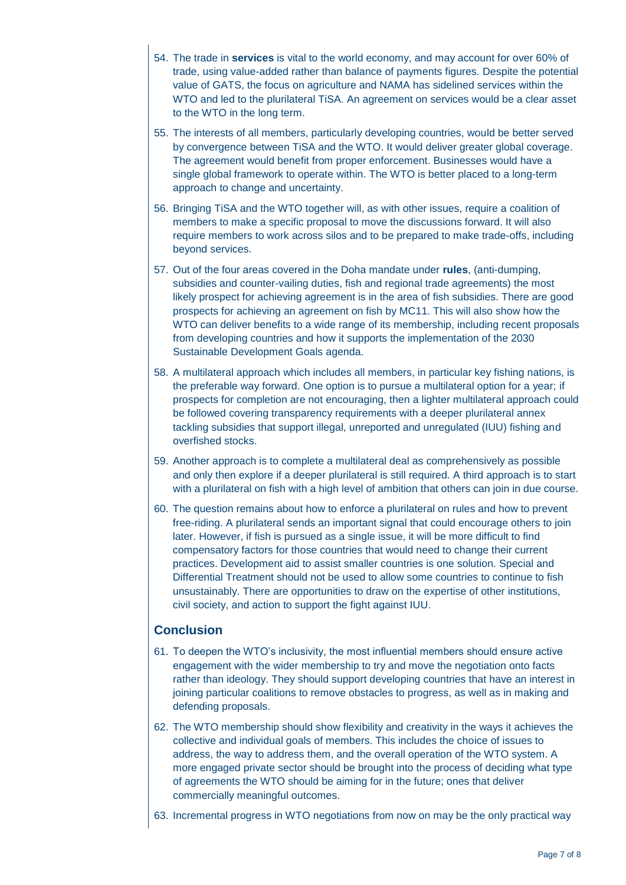- 54. The trade in **services** is vital to the world economy, and may account for over 60% of trade, using value-added rather than balance of payments figures. Despite the potential value of GATS, the focus on agriculture and NAMA has sidelined services within the WTO and led to the plurilateral TiSA. An agreement on services would be a clear asset to the WTO in the long term.
- 55. The interests of all members, particularly developing countries, would be better served by convergence between TiSA and the WTO. It would deliver greater global coverage. The agreement would benefit from proper enforcement. Businesses would have a single global framework to operate within. The WTO is better placed to a long-term approach to change and uncertainty.
- 56. Bringing TiSA and the WTO together will, as with other issues, require a coalition of members to make a specific proposal to move the discussions forward. It will also require members to work across silos and to be prepared to make trade-offs, including beyond services.
- 57. Out of the four areas covered in the Doha mandate under **rules**, (anti-dumping, subsidies and counter-vailing duties, fish and regional trade agreements) the most likely prospect for achieving agreement is in the area of fish subsidies. There are good prospects for achieving an agreement on fish by MC11. This will also show how the WTO can deliver benefits to a wide range of its membership, including recent proposals from developing countries and how it supports the implementation of the 2030 Sustainable Development Goals agenda.
- 58. A multilateral approach which includes all members, in particular key fishing nations, is the preferable way forward. One option is to pursue a multilateral option for a year; if prospects for completion are not encouraging, then a lighter multilateral approach could be followed covering transparency requirements with a deeper plurilateral annex tackling subsidies that support illegal, unreported and unregulated (IUU) fishing and overfished stocks.
- 59. Another approach is to complete a multilateral deal as comprehensively as possible and only then explore if a deeper plurilateral is still required. A third approach is to start with a plurilateral on fish with a high level of ambition that others can join in due course.
- 60. The question remains about how to enforce a plurilateral on rules and how to prevent free-riding. A plurilateral sends an important signal that could encourage others to join later. However, if fish is pursued as a single issue, it will be more difficult to find compensatory factors for those countries that would need to change their current practices. Development aid to assist smaller countries is one solution. Special and Differential Treatment should not be used to allow some countries to continue to fish unsustainably. There are opportunities to draw on the expertise of other institutions, civil society, and action to support the fight against IUU.

#### **Conclusion**

- 61. To deepen the WTO's inclusivity, the most influential members should ensure active engagement with the wider membership to try and move the negotiation onto facts rather than ideology. They should support developing countries that have an interest in joining particular coalitions to remove obstacles to progress, as well as in making and defending proposals.
- 62. The WTO membership should show flexibility and creativity in the ways it achieves the collective and individual goals of members. This includes the choice of issues to address, the way to address them, and the overall operation of the WTO system. A more engaged private sector should be brought into the process of deciding what type of agreements the WTO should be aiming for in the future; ones that deliver commercially meaningful outcomes.
- 63. Incremental progress in WTO negotiations from now on may be the only practical way